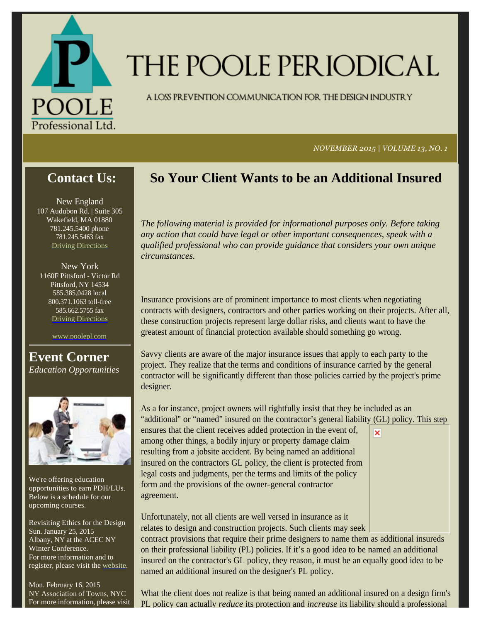

# THE POOLE PERIODICAL

A LOSS PREVENTION COMMUNICATION FOR THE DESIGN INDUSTRY

*NOVEMBER 2015 | VOLUME 13, NO. 1*

## **Contact Us:**

New England 107 Audubon Rd. | Suite 305 Wakefield, MA 01880 781.245.5400 phone 781.245.5463 fax Driving Directions

New York 1160F Pittsford - Victor Rd Pittsford, NY 14534 585.385.0428 local 800.371.1063 toll-free 585.662.5755 fax Driving Directions

www.poolepl.com

**Event Corner** *Education Opportunities*



We're offering education opportunities to earn PDH/LUs. Below is a schedule for our upcoming courses.

Revisiting Ethics for the Design Sun. January 25, 2015 Albany, NY at the ACEC NY Winter Conference. For more information and to register, please visit the website.

Mon. February 16, 2015 NY Association of Towns, NYC For more information, please visit

## **So Your Client Wants to be an Additional Insured**

*The following material is provided for informational purposes only. Before taking any action that could have legal or other important consequences, speak with a qualified professional who can provide guidance that considers your own unique circumstances.*

Insurance provisions are of prominent importance to most clients when negotiating contracts with designers, contractors and other parties working on their projects. After all, these construction projects represent large dollar risks, and clients want to have the greatest amount of financial protection available should something go wrong.

Savvy clients are aware of the major insurance issues that apply to each party to the project. They realize that the terms and conditions of insurance carried by the general contractor will be significantly different than those policies carried by the project's prime designer.

As a for instance, project owners will rightfully insist that they be included as an "additional" or "named" insured on the contractor's general liability (GL) policy. This step ensures that the client receives added protection in the event of, ×

among other things, a bodily injury or property damage claim resulting from a jobsite accident. By being named an additional insured on the contractors GL policy, the client is protected from legal costs and judgments, per the terms and limits of the policy form and the provisions of the owner-general contractor agreement.

Unfortunately, not all clients are well versed in insurance as it relates to design and construction projects. Such clients may seek contract provisions that require their prime designers to name them as additional insureds on their professional liability (PL) policies. If it's a good idea to be named an additional insured on the contractor's GL policy, they reason, it must be an equally good idea to be named an additional insured on the designer's PL policy.

What the client does not realize is that being named an additional insured on a design firm's PL policy can actually *reduce* its protection and *increase* its liability should a professional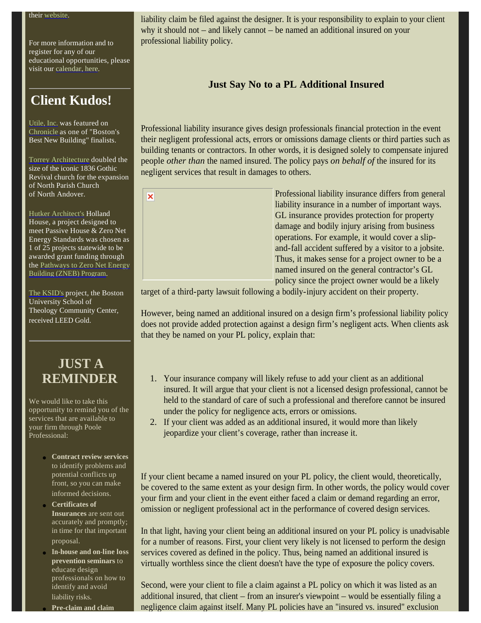For more information and to register for any of our educational opportunities, please visit our calendar, here.

## **Client Kudos!**

Utile, Inc. was featured on Chronicle as one of "Boston's Best New Building" finalists.

Torrey Architecture doubled the size of the iconic 1836 Gothic Revival church for the expansion of North Parish Church of North Andover.

Hutker Architect's Holland House, a project designed to meet Passive House & Zero Net Energy Standards was chosen as 1 of 25 projects statewide to be awarded grant funding through the Pathways to Zero Net Energy Building (ZNEB) Program.

The KSID's project, the Boston University School of Theology Community Center, received LEED Gold.

## **JUST A REMINDER**

We would like to take this opportunity to remind you of the services that are available to your firm through Poole Professional:

- **Contract review services** to identify problems and potential conflicts up front, so you can make informed decisions.
- **Certificates of Insurances** are sent out accurately and promptly; in time for that important proposal.
- **In-house and on-line loss prevention seminars** to educate design professionals on how to identify and avoid liability risks.

**Pre-claim and claim** 

liability claim be filed against the designer. It is your responsibility to explain to your client why it should not – and likely cannot – be named an additional insured on your professional liability policy.

#### **Just Say No to a PL Additional Insured**

Professional liability insurance gives design professionals financial protection in the event their negligent professional acts, errors or omissions damage clients or third parties such as building tenants or contractors. In other words, it is designed solely to compensate injured people *other than* the named insured. The policy pays *on behalf of* the insured for its negligent services that result in damages to others.





target of a third-party lawsuit following a bodily-injury accident on their property.

However, being named an additional insured on a design firm's professional liability policy does not provide added protection against a design firm's negligent acts. When clients ask that they be named on your PL policy, explain that:

- 1. Your insurance company will likely refuse to add your client as an additional insured. It will argue that your client is not a licensed design professional, cannot be held to the standard of care of such a professional and therefore cannot be insured under the policy for negligence acts, errors or omissions.
- 2. If your client was added as an additional insured, it would more than likely jeopardize your client's coverage, rather than increase it.

If your client became a named insured on your PL policy, the client would, theoretically, be covered to the same extent as your design firm. In other words, the policy would cover your firm and your client in the event either faced a claim or demand regarding an error, omission or negligent professional act in the performance of covered design services.

In that light, having your client being an additional insured on your PL policy is unadvisable for a number of reasons. First, your client very likely is not licensed to perform the design services covered as defined in the policy. Thus, being named an additional insured is virtually worthless since the client doesn't have the type of exposure the policy covers.

Second, were your client to file a claim against a PL policy on which it was listed as an additional insured, that client – from an insurer's viewpoint – would be essentially filing a negligence claim against itself. Many PL policies have an "insured vs. insured" exclusion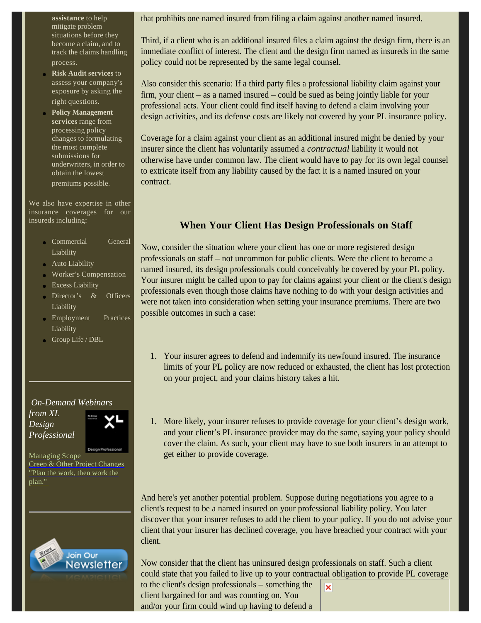**assistance** to help mitigate problem situations before they become a claim, and to track the claims handling process.

- **Risk Audit services** to assess your company's exposure by asking the right questions.
- **Policy Management services** range from processing policy changes to formulating the most complete submissions for underwriters, in order to obtain the lowest premiums possible.

We also have expertise in other insurance coverages for our insureds including:

- Commercial General Liability
- Auto Liability
- Worker's Compensation
- Excess Liability
- Director's & Officers Liability
- Employment Practices Liability
- Group Life / DBL

*On-Demand Webinars from XL Design* 

*Professional*

Managing Scope Creep & Other Project Changes "Plan the work, then work the plan."



that prohibits one named insured from filing a claim against another named insured.

Third, if a client who is an additional insured files a claim against the design firm, there is an immediate conflict of interest. The client and the design firm named as insureds in the same policy could not be represented by the same legal counsel.

Also consider this scenario: If a third party files a professional liability claim against your firm, your client – as a named insured – could be sued as being jointly liable for your professional acts. Your client could find itself having to defend a claim involving your design activities, and its defense costs are likely not covered by your PL insurance policy.

Coverage for a claim against your client as an additional insured might be denied by your insurer since the client has voluntarily assumed a *contractual* liability it would not otherwise have under common law. The client would have to pay for its own legal counsel to extricate itself from any liability caused by the fact it is a named insured on your contract.

### **When Your Client Has Design Professionals on Staff**

Now, consider the situation where your client has one or more registered design professionals on staff – not uncommon for public clients. Were the client to become a named insured, its design professionals could conceivably be covered by your PL policy. Your insurer might be called upon to pay for claims against your client or the client's design professionals even though those claims have nothing to do with your design activities and were not taken into consideration when setting your insurance premiums. There are two possible outcomes in such a case:

- 1. Your insurer agrees to defend and indemnify its newfound insured. The insurance limits of your PL policy are now reduced or exhausted, the client has lost protection on your project, and your claims history takes a hit.
- 1. More likely, your insurer refuses to provide coverage for your client's design work, and your client's PL insurance provider may do the same, saying your policy should cover the claim. As such, your client may have to sue both insurers in an attempt to get either to provide coverage.

And here's yet another potential problem. Suppose during negotiations you agree to a client's request to be a named insured on your professional liability policy. You later discover that your insurer refuses to add the client to your policy. If you do not advise your client that your insurer has declined coverage, you have breached your contract with your client.

Now consider that the client has uninsured design professionals on staff. Such a client could state that you failed to live up to your contractual obligation to provide PL coverage

to the client's design professionals – something the client bargained for and was counting on. You and/or your firm could wind up having to defend a

×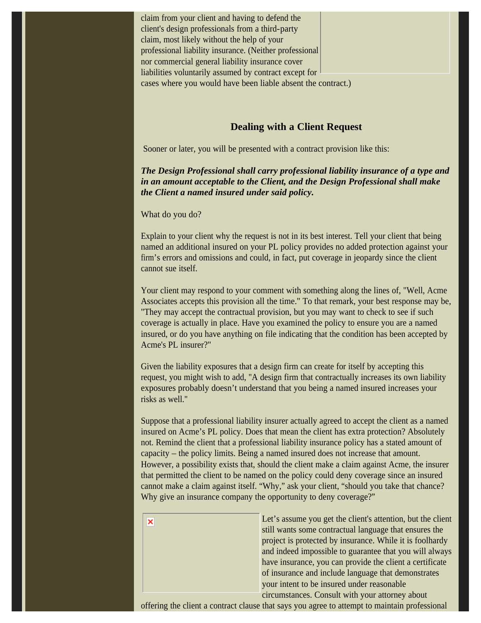claim from your client and having to defend the client's design professionals from a third-party claim, most likely without the help of your professional liability insurance. (Neither professional nor commercial general liability insurance cover liabilities voluntarily assumed by contract except for cases where you would have been liable absent the contract.)

#### **Dealing with a Client Request**

Sooner or later, you will be presented with a contract provision like this:

*The Design Professional shall carry professional liability insurance of a type and in an amount acceptable to the Client, and the Design Professional shall make the Client a named insured under said policy.*

What do you do?

×

Explain to your client why the request is not in its best interest. Tell your client that being named an additional insured on your PL policy provides no added protection against your firm's errors and omissions and could, in fact, put coverage in jeopardy since the client cannot sue itself.

Your client may respond to your comment with something along the lines of, "Well, Acme Associates accepts this provision all the time." To that remark, your best response may be, "They may accept the contractual provision, but you may want to check to see if such coverage is actually in place. Have you examined the policy to ensure you are a named insured, or do you have anything on file indicating that the condition has been accepted by Acme's PL insurer?"

Given the liability exposures that a design firm can create for itself by accepting this request, you might wish to add, "A design firm that contractually increases its own liability exposures probably doesn't understand that you being a named insured increases your risks as well."

Suppose that a professional liability insurer actually agreed to accept the client as a named insured on Acme's PL policy. Does that mean the client has extra protection? Absolutely not. Remind the client that a professional liability insurance policy has a stated amount of capacity – the policy limits. Being a named insured does not increase that amount. However, a possibility exists that, should the client make a claim against Acme, the insurer that permitted the client to be named on the policy could deny coverage since an insured cannot make a claim against itself. "Why," ask your client, "should you take that chance? Why give an insurance company the opportunity to deny coverage?"

> Let's assume you get the client's attention, but the client still wants some contractual language that ensures the project is protected by insurance. While it is foolhardy and indeed impossible to guarantee that you will always have insurance, you can provide the client a certificate of insurance and include language that demonstrates your intent to be insured under reasonable circumstances. Consult with your attorney about

offering the client a contract clause that says you agree to attempt to maintain professional